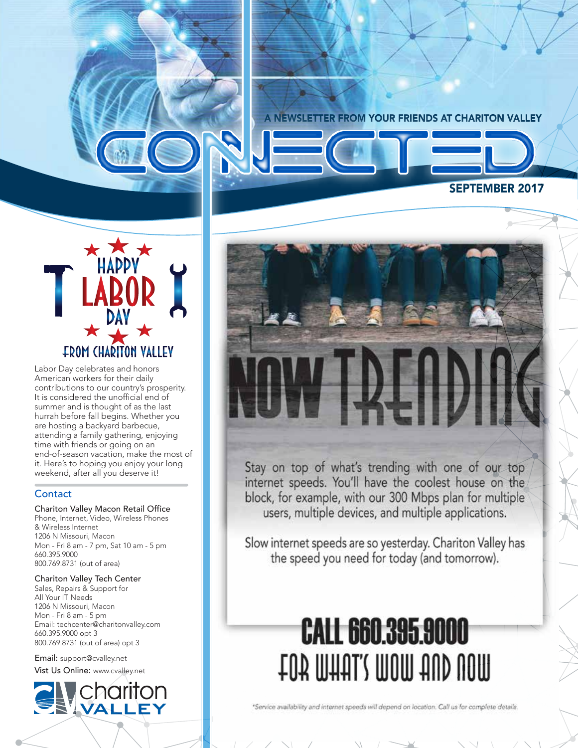FROM YOUR FRIENDS AT CHARITON VALLEY

SEPTEMBER 2017



Labor Day celebrates and honors American workers for their daily contributions to our country's prosperity. It is considered the unofficial end of summer and is thought of as the last hurrah before fall begins. Whether you are hosting a backyard barbecue, attending a family gathering, enjoying time with friends or going on an end-of-season vacation, make the most of it. Here's to hoping you enjoy your long weekend, after all you deserve it!

#### **Contact**

Chariton Valley Macon Retail Office Phone, Internet, Video, Wireless Phones & Wireless Internet 1206 N Missouri, Macon Mon - Fri 8 am - 7 pm, Sat 10 am - 5 pm 660.395.9000 800.769.8731 (out of area)

#### Chariton Valley Tech Center

Sales, Repairs & Support for All Your IT Needs 1206 N Missouri, Macon Mon - Fri 8 am - 5 pm Email: techcenter@charitonvalley.com 660.395.9000 opt 3 800.769.8731 (out of area) opt 3

Email: support@cvalley.net Vist Us Online: www.cvalley.net





Stay on top of what's trending with one of our top internet speeds. You'll have the coolest house on the block, for example, with our 300 Mbps plan for multiple users, multiple devices, and multiple applications.

Slow internet speeds are so yesterday. Chariton Valley has the speed you need for today (and tomorrow).

# **CALL 660.395.9000** LOB MHUL. MOM JUD UOM

\*Service availability and internet speeds will depend on location. Call us for complete details.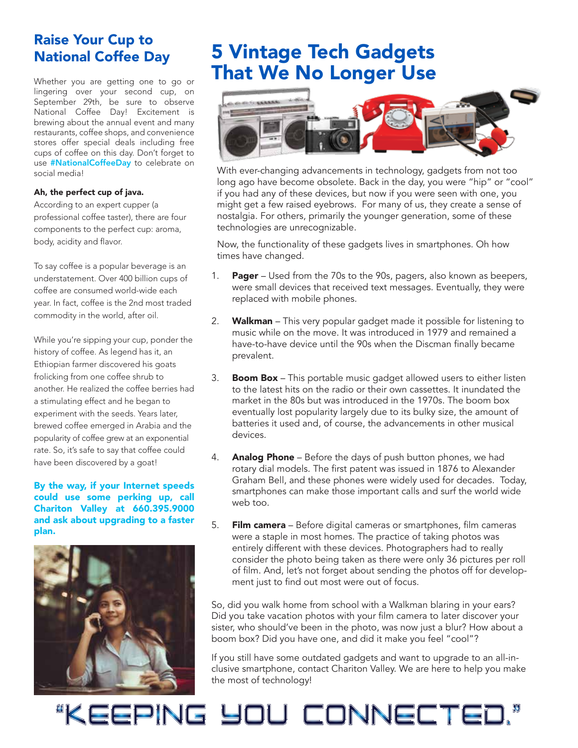### Raise Your Cup to National Coffee Day

Whether you are getting one to go or lingering over your second cup, on September 29th, be sure to observe National Coffee Day! Excitement is brewing about the annual event and many restaurants, coffee shops, and convenience stores offer special deals including free cups of coffee on this day. Don't forget to use **#NationalCoffeeDay** to celebrate on social media!

#### Ah, the perfect cup of java.

According to an expert cupper (a professional coffee taster), there are four components to the perfect cup: aroma, body, acidity and flavor.

To say coffee is a popular beverage is an understatement. Over 400 billion cups of coffee are consumed world-wide each year. In fact, coffee is the 2nd most traded commodity in the world, after oil.

While you're sipping your cup, ponder the history of coffee. As legend has it, an Ethiopian farmer discovered his goats frolicking from one coffee shrub to another. He realized the coffee berries had a stimulating effect and he began to experiment with the seeds. Years later, brewed coffee emerged in Arabia and the popularity of coffee grew at an exponential rate. So, it's safe to say that coffee could have been discovered by a goat!

By the way, if your Internet speeds could use some perking up, call Chariton Valley at 660.395.9000 and ask about upgrading to a faster plan.



## 5 Vintage Tech Gadgets That We No Longer Use



With ever-changing advancements in technology, gadgets from not too long ago have become obsolete. Back in the day, you were "hip" or "cool" if you had any of these devices, but now if you were seen with one, you might get a few raised eyebrows. For many of us, they create a sense of nostalgia. For others, primarily the younger generation, some of these technologies are unrecognizable.

Now, the functionality of these gadgets lives in smartphones. Oh how times have changed.

- 1. Pager Used from the 70s to the 90s, pagers, also known as beepers, were small devices that received text messages. Eventually, they were replaced with mobile phones.
- 2. Walkman This very popular gadget made it possible for listening to music while on the move. It was introduced in 1979 and remained a have-to-have device until the 90s when the Discman finally became prevalent.
- 3. **Boom Box** This portable music gadget allowed users to either listen to the latest hits on the radio or their own cassettes. It inundated the market in the 80s but was introduced in the 1970s. The boom box eventually lost popularity largely due to its bulky size, the amount of batteries it used and, of course, the advancements in other musical devices.
- 4. Analog Phone Before the days of push button phones, we had rotary dial models. The first patent was issued in 1876 to Alexander Graham Bell, and these phones were widely used for decades. Today, smartphones can make those important calls and surf the world wide web too.
- 5. Film camera Before digital cameras or smartphones, film cameras were a staple in most homes. The practice of taking photos was entirely different with these devices. Photographers had to really consider the photo being taken as there were only 36 pictures per roll of film. And, let's not forget about sending the photos off for develop ment just to find out most were out of focus.

So, did you walk home from school with a Walkman blaring in your ears? Did you take vacation photos with your film camera to later discover your sister, who should've been in the photo, was now just a blur? How about a boom box? Did you have one, and did it make you feel "cool"?

If you still have some outdated gadgets and want to upgrade to an all-inclusive smartphone, contact Chariton Valley. We are here to help you make the most of technology!

"KEEPING YOU CONNECTEI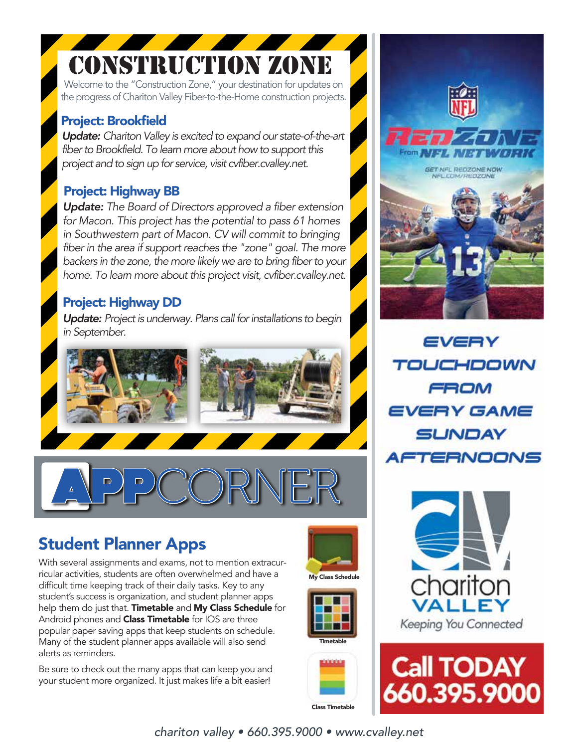# construction zone

Welcome to the "Construction Zone," your destination for updates on the progress of Chariton Valley Fiber-to-the-Home construction projects.

### Project: Brookfield

*Update: Chariton Valley is excited to expand our state-of-the-art fiber to Brookfield. To learn more about how to support this project and to sign up for service, visit cvfiber.cvalley.net.*

### Project: Highway BB

*Update: The Board of Directors approved a fiber extension for Macon. This project has the potential to pass 61 homes in Southwestern part of Macon. CV will commit to bringing fiber in the area if support reaches the "zone" goal. The more backers in the zone, the more likely we are to bring fiber to your home. To learn more about this project visit, cvfiber.cvalley.net.* 

#### Project: Highway DD

*Update: Project is underway. Plans call for installations to begin in September.*



## Student Planner Apps

With several assignments and exams, not to mention extracurricular activities, students are often overwhelmed and have a difficult time keeping track of their daily tasks. Key to any student's success is organization, and student planner apps help them do just that. Timetable and My Class Schedule for Android phones and **Class Timetable** for IOS are three popular paper saving apps that keep students on schedule. Many of the student planner apps available will also send alerts as reminders.

Be sure to check out the many apps that can keep you and your student more organized. It just makes life a bit easier!









EVERY TOUCHDOWN FROM EVERY GAME **SLINDAY AFTERNOONS** 





*chariton valley • 660.395.9000 • www.cvalley.net*